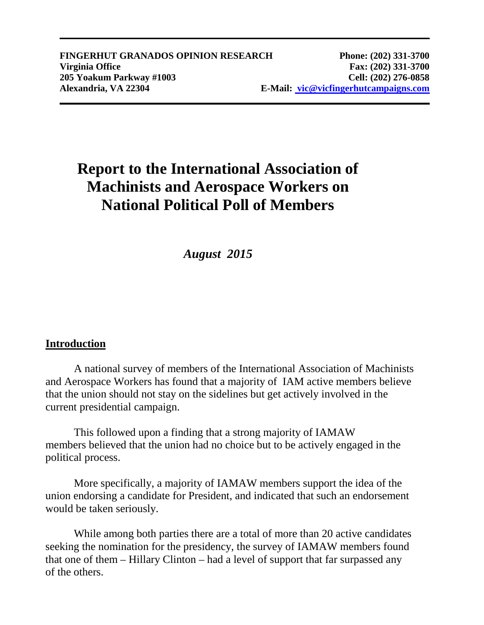# **Report to the International Association of Machinists and Aerospace Workers on National Political Poll of Members**

**\_\_\_\_\_\_\_\_\_\_\_\_\_\_\_\_\_\_\_\_\_\_\_\_\_\_\_\_\_\_\_\_\_\_\_\_\_\_\_\_\_\_\_\_\_\_\_\_\_\_\_\_\_\_\_\_\_\_\_\_\_\_\_\_\_\_\_\_\_\_\_\_\_\_\_\_\_\_**

## *August 2015*

### **Introduction**

A national survey of members of the International Association of Machinists and Aerospace Workers has found that a majority of IAM active members believe that the union should not stay on the sidelines but get actively involved in the current presidential campaign.

This followed upon a finding that a strong majority of IAMAW members believed that the union had no choice but to be actively engaged in the political process.

More specifically, a majority of IAMAW members support the idea of the union endorsing a candidate for President, and indicated that such an endorsement would be taken seriously.

While among both parties there are a total of more than 20 active candidates seeking the nomination for the presidency, the survey of IAMAW members found that one of them – Hillary Clinton – had a level of support that far surpassed any of the others.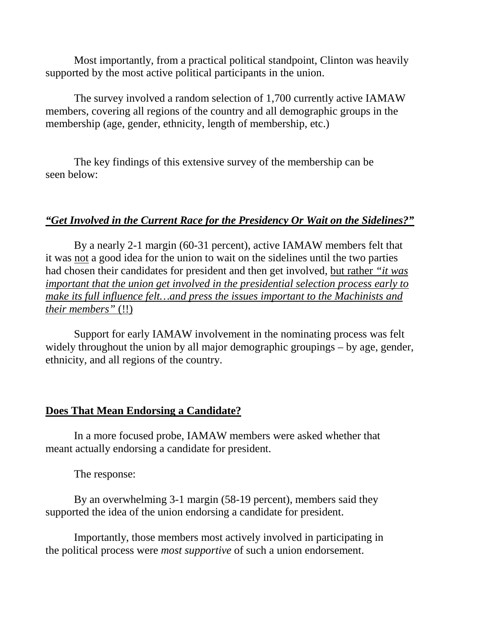Most importantly, from a practical political standpoint, Clinton was heavily supported by the most active political participants in the union.

The survey involved a random selection of 1,700 currently active IAMAW members, covering all regions of the country and all demographic groups in the membership (age, gender, ethnicity, length of membership, etc.)

The key findings of this extensive survey of the membership can be seen below:

#### *"Get Involved in the Current Race for the Presidency Or Wait on the Sidelines?"*

By a nearly 2-1 margin (60-31 percent), active IAMAW members felt that it was not a good idea for the union to wait on the sidelines until the two parties had chosen their candidates for president and then get involved, but rather *"it was important that the union get involved in the presidential selection process early to make its full influence felt...and press the issues important to the Machinists and their members"* (!!)

Support for early IAMAW involvement in the nominating process was felt widely throughout the union by all major demographic groupings – by age, gender, ethnicity, and all regions of the country.

#### **Does That Mean Endorsing a Candidate?**

In a more focused probe, IAMAW members were asked whether that meant actually endorsing a candidate for president.

The response:

By an overwhelming 3-1 margin (58-19 percent), members said they supported the idea of the union endorsing a candidate for president.

Importantly, those members most actively involved in participating in the political process were *most supportive* of such a union endorsement.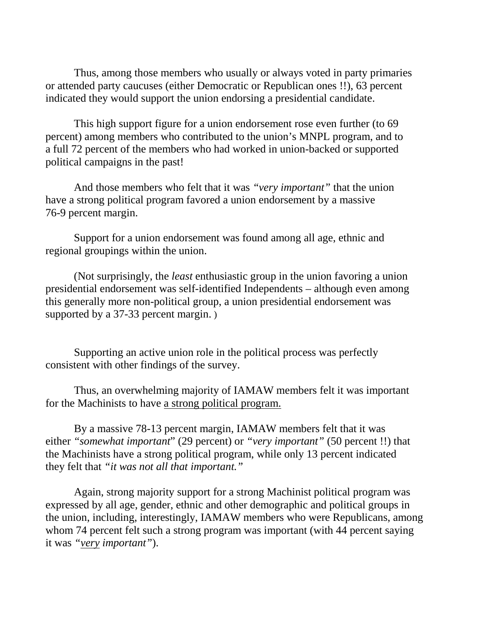Thus, among those members who usually or always voted in party primaries or attended party caucuses (either Democratic or Republican ones !!), 63 percent indicated they would support the union endorsing a presidential candidate.

This high support figure for a union endorsement rose even further (to 69 percent) among members who contributed to the union's MNPL program, and to a full 72 percent of the members who had worked in union-backed or supported political campaigns in the past!

And those members who felt that it was *"very important"* that the union have a strong political program favored a union endorsement by a massive 76-9 percent margin.

Support for a union endorsement was found among all age, ethnic and regional groupings within the union.

(Not surprisingly, the *least* enthusiastic group in the union favoring a union presidential endorsement was self-identified Independents – although even among this generally more non-political group, a union presidential endorsement was supported by a 37-33 percent margin. )

Supporting an active union role in the political process was perfectly consistent with other findings of the survey.

Thus, an overwhelming majority of IAMAW members felt it was important for the Machinists to have a strong political program.

By a massive 78-13 percent margin, IAMAW members felt that it was either *"somewhat important*" (29 percent) or *"very important"* (50 percent !!) that the Machinists have a strong political program, while only 13 percent indicated they felt that *"it was not all that important."*

Again, strong majority support for a strong Machinist political program was expressed by all age, gender, ethnic and other demographic and political groups in the union, including, interestingly, IAMAW members who were Republicans, among whom 74 percent felt such a strong program was important (with 44 percent saying it was *"very important"*).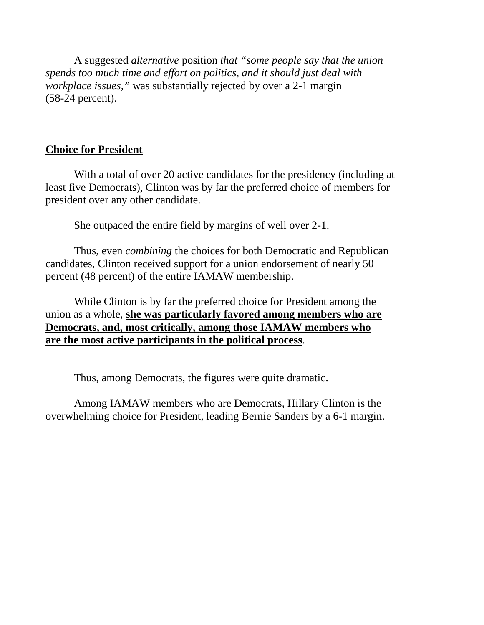A suggested *alternative* position *that "some people say that the union spends too much time and effort on politics, and it should just deal with workplace issues,"* was substantially rejected by over a 2-1 margin (58-24 percent).

#### **Choice for President**

With a total of over 20 active candidates for the presidency (including at least five Democrats), Clinton was by far the preferred choice of members for president over any other candidate.

She outpaced the entire field by margins of well over 2-1.

Thus, even *combining* the choices for both Democratic and Republican candidates, Clinton received support for a union endorsement of nearly 50 percent (48 percent) of the entire IAMAW membership.

While Clinton is by far the preferred choice for President among the union as a whole, **she was particularly favored among members who are Democrats, and, most critically, among those IAMAW members who are the most active participants in the political process**.

Thus, among Democrats, the figures were quite dramatic.

Among IAMAW members who are Democrats, Hillary Clinton is the overwhelming choice for President, leading Bernie Sanders by a 6-1 margin.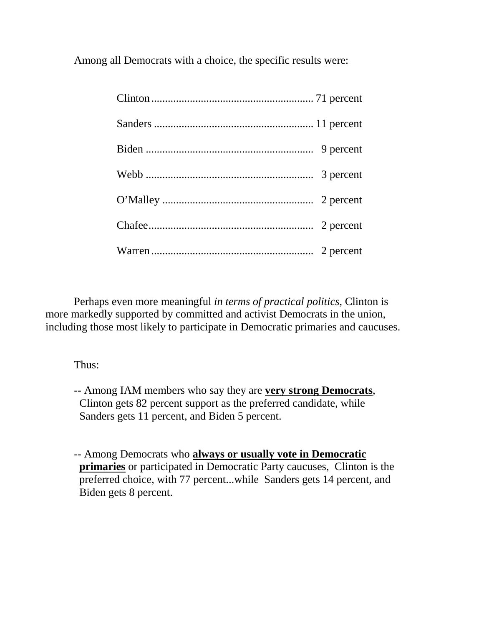Among all Democrats with a choice, the specific results were:

Perhaps even more meaningful *in terms of practical politics*, Clinton is more markedly supported by committed and activist Democrats in the union, including those most likely to participate in Democratic primaries and caucuses.

Thus:

-- Among IAM members who say they are **very strong Democrats**, Clinton gets 82 percent support as the preferred candidate, while Sanders gets 11 percent, and Biden 5 percent.

-- Among Democrats who **always or usually vote in Democratic primaries** or participated in Democratic Party caucuses, Clinton is the preferred choice, with 77 percent...while Sanders gets 14 percent, and Biden gets 8 percent.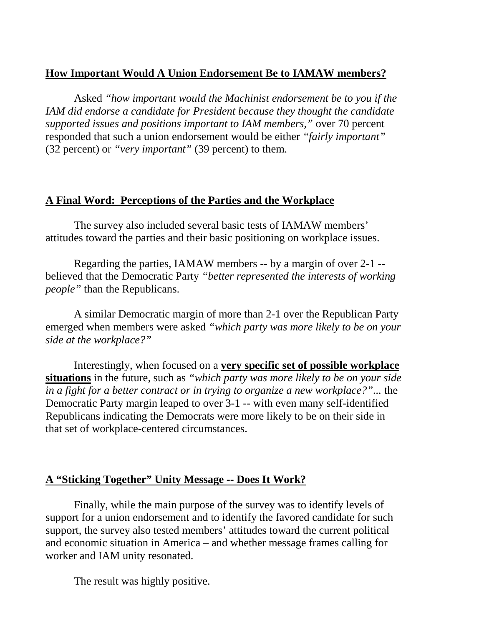## **How Important Would A Union Endorsement Be to IAMAW members?**

Asked *"how important would the Machinist endorsement be to you if the IAM did endorse a candidate for President because they thought the candidate supported issues and positions important to IAM members,"* over 70 percent responded that such a union endorsement would be either *"fairly important"* (32 percent) or *"very important"* (39 percent) to them.

#### **A Final Word: Perceptions of the Parties and the Workplace**

The survey also included several basic tests of IAMAW members' attitudes toward the parties and their basic positioning on workplace issues.

Regarding the parties, IAMAW members -- by a margin of over 2-1 - believed that the Democratic Party *"better represented the interests of working people"* than the Republicans.

A similar Democratic margin of more than 2-1 over the Republican Party emerged when members were asked *"which party was more likely to be on your side at the workplace?"*

Interestingly, when focused on a **very specific set of possible workplace situations** in the future, such as *"which party was more likely to be on your side in a fight for a better contract or in trying to organize a new workplace?"...* the Democratic Party margin leaped to over 3-1 -- with even many self-identified Republicans indicating the Democrats were more likely to be on their side in that set of workplace-centered circumstances.

#### **A "Sticking Together" Unity Message -- Does It Work?**

Finally, while the main purpose of the survey was to identify levels of support for a union endorsement and to identify the favored candidate for such support, the survey also tested members' attitudes toward the current political and economic situation in America – and whether message frames calling for worker and IAM unity resonated.

The result was highly positive.